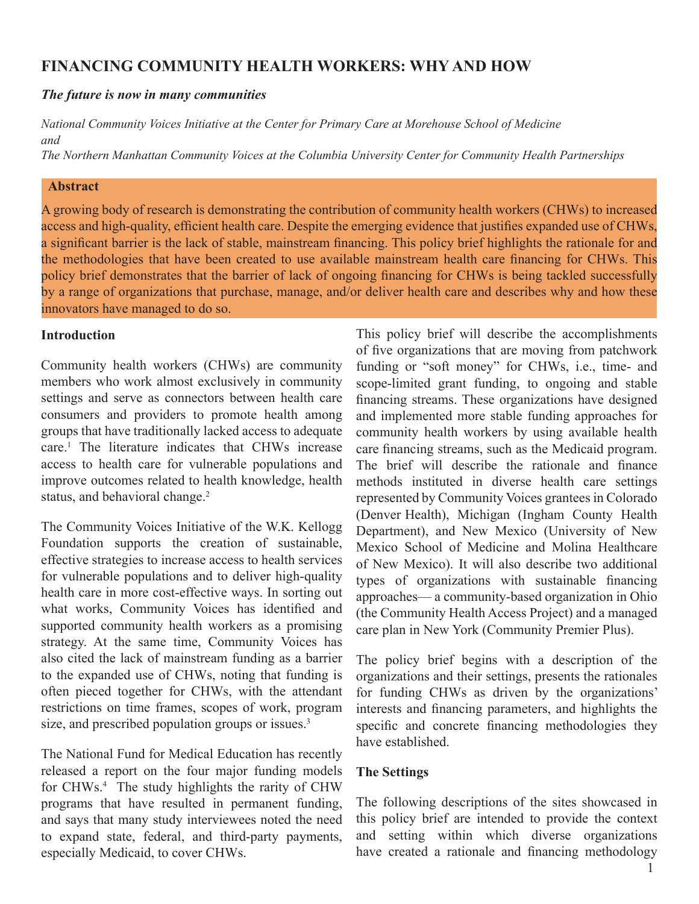# **FINANCING COMMUNITY HEALTH WORKERS: WHY AND HOW**

## *The future is now in many communities*

*National Community Voices Initiative at the Center for Primary Care at Morehouse School of Medicine and*

*The Northern Manhattan Community Voices at the Columbia University Center for Community Health Partnerships*

### **Abstract**

A growing body of research is demonstrating the contribution of community health workers (CHWs) to increased access and high-quality, efficient health care. Despite the emerging evidence that justifies expanded use of CHWs, a significant barrier is the lack of stable, mainstream financing. This policy brief highlights the rationale for and the methodologies that have been created to use available mainstream health care financing for CHWs. This policy brief demonstrates that the barrier of lack of ongoing financing for CHWs is being tackled successfully by a range of organizations that purchase, manage, and/or deliver health care and describes why and how these innovators have managed to do so.

# **Introduction**

Community health workers (CHWs) are community members who work almost exclusively in community settings and serve as connectors between health care consumers and providers to promote health among groups that have traditionally lacked access to adequate care.1 The literature indicates that CHWs increase access to health care for vulnerable populations and improve outcomes related to health knowledge, health status, and behavioral change.<sup>2</sup>

The Community Voices Initiative of the W.K. Kellogg Foundation supports the creation of sustainable, effective strategies to increase access to health services for vulnerable populations and to deliver high-quality health care in more cost-effective ways. In sorting out what works, Community Voices has identified and supported community health workers as a promising strategy. At the same time, Community Voices has also cited the lack of mainstream funding as a barrier to the expanded use of CHWs, noting that funding is often pieced together for CHWs, with the attendant restrictions on time frames, scopes of work, program size, and prescribed population groups or issues.<sup>3</sup>

The National Fund for Medical Education has recently released a report on the four major funding models for CHWs.<sup>4</sup> The study highlights the rarity of CHW programs that have resulted in permanent funding, and says that many study interviewees noted the need to expand state, federal, and third-party payments, especially Medicaid, to cover CHWs.

This policy brief will describe the accomplishments of five organizations that are moving from patchwork funding or "soft money" for CHWs, i.e., time- and scope-limited grant funding, to ongoing and stable financing streams. These organizations have designed and implemented more stable funding approaches for community health workers by using available health care financing streams, such as the Medicaid program. The brief will describe the rationale and finance methods instituted in diverse health care settings represented by Community Voices grantees in Colorado (Denver Health), Michigan (Ingham County Health Department), and New Mexico (University of New Mexico School of Medicine and Molina Healthcare of New Mexico). It will also describe two additional types of organizations with sustainable financing approaches— a community-based organization in Ohio (the Community Health Access Project) and a managed care plan in New York (Community Premier Plus).

The policy brief begins with a description of the organizations and their settings, presents the rationales for funding CHWs as driven by the organizations' interests and financing parameters, and highlights the specific and concrete financing methodologies they have established.

### **The Settings**

The following descriptions of the sites showcased in this policy brief are intended to provide the context and setting within which diverse organizations have created a rationale and financing methodology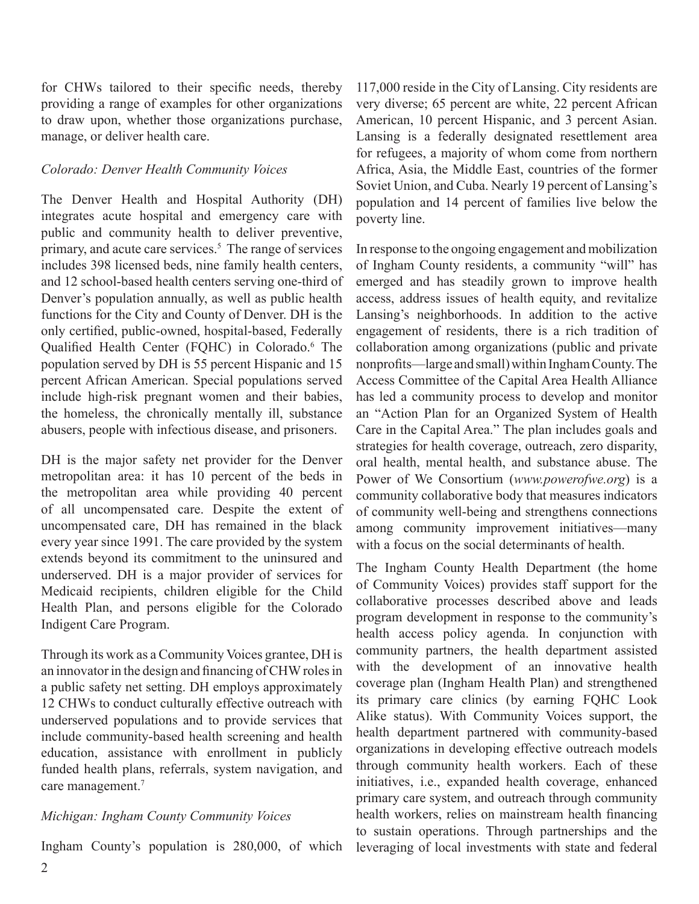for CHWs tailored to their specific needs, thereby providing a range of examples for other organizations to draw upon, whether those organizations purchase, manage, or deliver health care.

### *Colorado: Denver Health Community Voices*

The Denver Health and Hospital Authority (DH) integrates acute hospital and emergency care with public and community health to deliver preventive, primary, and acute care services.<sup>5</sup> The range of services includes 398 licensed beds, nine family health centers, and 12 school-based health centers serving one-third of Denver's population annually, as well as public health functions for the City and County of Denver. DH is the only certified, public-owned, hospital-based, Federally Qualified Health Center (FQHC) in Colorado.<sup>6</sup> The population served by DH is 55 percent Hispanic and 15 percent African American. Special populations served include high-risk pregnant women and their babies, the homeless, the chronically mentally ill, substance abusers, people with infectious disease, and prisoners.

DH is the major safety net provider for the Denver metropolitan area: it has 10 percent of the beds in the metropolitan area while providing 40 percent of all uncompensated care. Despite the extent of uncompensated care, DH has remained in the black every year since 1991. The care provided by the system extends beyond its commitment to the uninsured and underserved. DH is a major provider of services for Medicaid recipients, children eligible for the Child Health Plan, and persons eligible for the Colorado Indigent Care Program.

Through its work as a Community Voices grantee, DH is an innovator in the design and financing of CHW roles in a public safety net setting. DH employs approximately 12 CHWs to conduct culturally effective outreach with underserved populations and to provide services that include community-based health screening and health education, assistance with enrollment in publicly funded health plans, referrals, system navigation, and care management.<sup>7</sup>

### *Michigan: Ingham County Community Voices*

Ingham County's population is 280,000, of which

117,000 reside in the City of Lansing. City residents are very diverse; 65 percent are white, 22 percent African American, 10 percent Hispanic, and 3 percent Asian. Lansing is a federally designated resettlement area for refugees, a majority of whom come from northern Africa, Asia, the Middle East, countries of the former Soviet Union, and Cuba. Nearly 19 percent of Lansing's population and 14 percent of families live below the poverty line.

In response to the ongoing engagement and mobilization of Ingham County residents, a community "will" has emerged and has steadily grown to improve health access, address issues of health equity, and revitalize Lansing's neighborhoods. In addition to the active engagement of residents, there is a rich tradition of collaboration among organizations (public and private nonprofits—large and small) within Ingham County. The Access Committee of the Capital Area Health Alliance has led a community process to develop and monitor an "Action Plan for an Organized System of Health Care in the Capital Area." The plan includes goals and strategies for health coverage, outreach, zero disparity, oral health, mental health, and substance abuse. The Power of We Consortium (*www.powerofwe.org*) is a community collaborative body that measures indicators of community well-being and strengthens connections among community improvement initiatives—many with a focus on the social determinants of health.

The Ingham County Health Department (the home of Community Voices) provides staff support for the collaborative processes described above and leads program development in response to the community's health access policy agenda. In conjunction with community partners, the health department assisted with the development of an innovative health coverage plan (Ingham Health Plan) and strengthened its primary care clinics (by earning FQHC Look Alike status). With Community Voices support, the health department partnered with community-based organizations in developing effective outreach models through community health workers. Each of these initiatives, i.e., expanded health coverage, enhanced primary care system, and outreach through community health workers, relies on mainstream health financing to sustain operations. Through partnerships and the leveraging of local investments with state and federal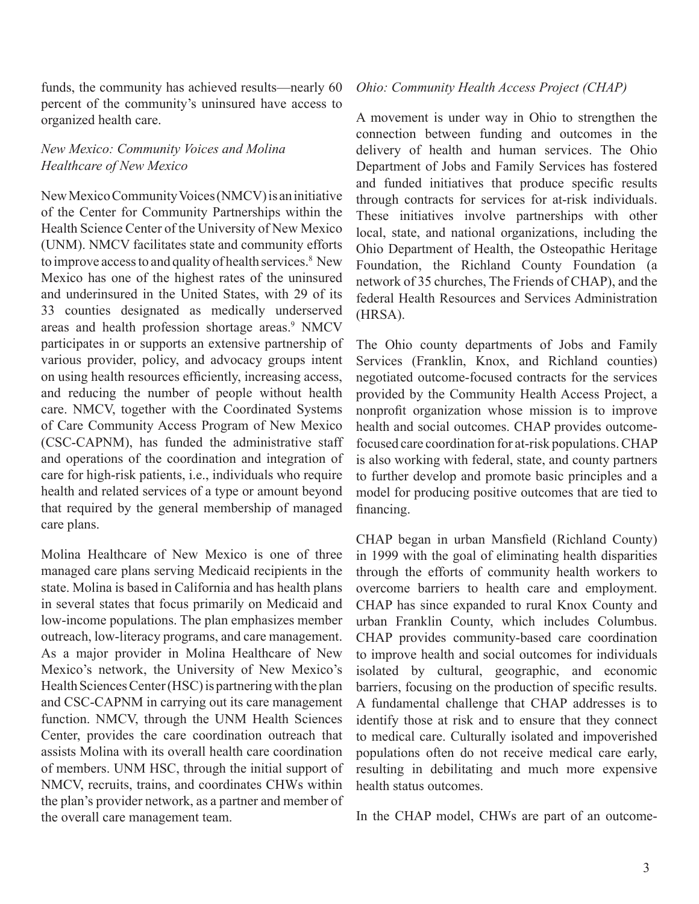funds, the community has achieved results—nearly 60 percent of the community's uninsured have access to organized health care.

### *New Mexico: Community Voices and Molina Healthcare of New Mexico*

New Mexico Community Voices (NMCV) is an initiative of the Center for Community Partnerships within the Health Science Center of the University of New Mexico (UNM). NMCV facilitates state and community efforts to improve access to and quality of health services.<sup>8</sup> New Mexico has one of the highest rates of the uninsured and underinsured in the United States, with 29 of its 33 counties designated as medically underserved areas and health profession shortage areas.<sup>9</sup> NMCV participates in or supports an extensive partnership of various provider, policy, and advocacy groups intent on using health resources efficiently, increasing access, and reducing the number of people without health care. NMCV, together with the Coordinated Systems of Care Community Access Program of New Mexico (CSC-CAPNM), has funded the administrative staff and operations of the coordination and integration of care for high-risk patients, i.e., individuals who require health and related services of a type or amount beyond that required by the general membership of managed care plans.

Molina Healthcare of New Mexico is one of three managed care plans serving Medicaid recipients in the state. Molina is based in California and has health plans in several states that focus primarily on Medicaid and low-income populations. The plan emphasizes member outreach, low-literacy programs, and care management. As a major provider in Molina Healthcare of New Mexico's network, the University of New Mexico's Health Sciences Center (HSC) is partnering with the plan and CSC-CAPNM in carrying out its care management function. NMCV, through the UNM Health Sciences Center, provides the care coordination outreach that assists Molina with its overall health care coordination of members. UNM HSC, through the initial support of NMCV, recruits, trains, and coordinates CHWs within the plan's provider network, as a partner and member of the overall care management team.

#### *Ohio: Community Health Access Project (CHAP)*

A movement is under way in Ohio to strengthen the connection between funding and outcomes in the delivery of health and human services. The Ohio Department of Jobs and Family Services has fostered and funded initiatives that produce specific results through contracts for services for at-risk individuals. These initiatives involve partnerships with other local, state, and national organizations, including the Ohio Department of Health, the Osteopathic Heritage Foundation, the Richland County Foundation (a network of 35 churches, The Friends of CHAP), and the federal Health Resources and Services Administration (HRSA).

The Ohio county departments of Jobs and Family Services (Franklin, Knox, and Richland counties) negotiated outcome-focused contracts for the services provided by the Community Health Access Project, a nonprofit organization whose mission is to improve health and social outcomes. CHAP provides outcomefocused care coordination for at-risk populations. CHAP is also working with federal, state, and county partners to further develop and promote basic principles and a model for producing positive outcomes that are tied to financing.

CHAP began in urban Mansfield (Richland County) in 1999 with the goal of eliminating health disparities through the efforts of community health workers to overcome barriers to health care and employment. CHAP has since expanded to rural Knox County and urban Franklin County, which includes Columbus. CHAP provides community-based care coordination to improve health and social outcomes for individuals isolated by cultural, geographic, and economic barriers, focusing on the production of specific results. A fundamental challenge that CHAP addresses is to identify those at risk and to ensure that they connect to medical care. Culturally isolated and impoverished populations often do not receive medical care early, resulting in debilitating and much more expensive health status outcomes.

In the CHAP model, CHWs are part of an outcome-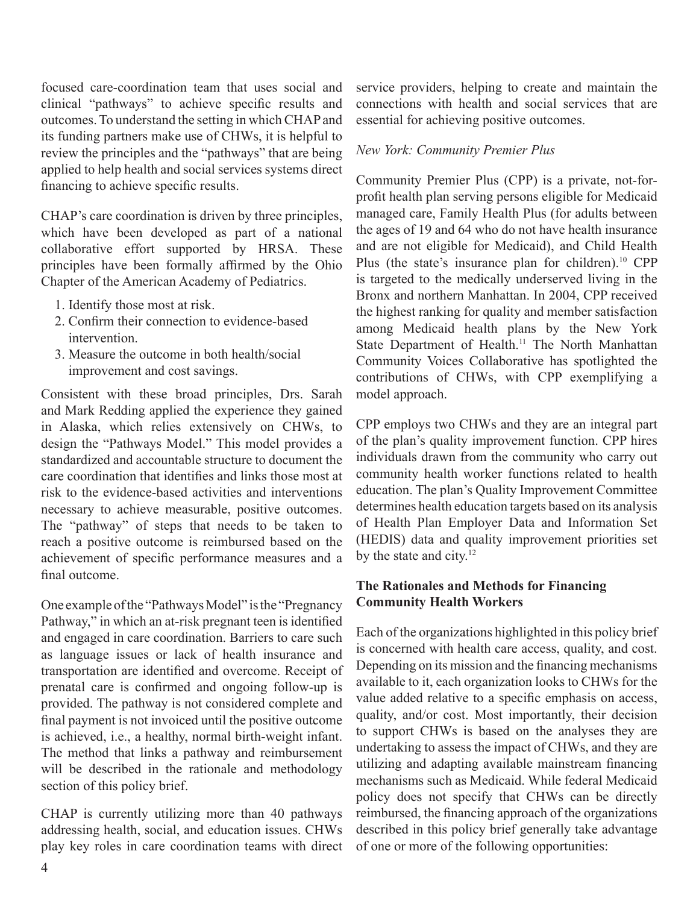focused care-coordination team that uses social and clinical "pathways" to achieve specific results and outcomes. To understand the setting in which CHAP and its funding partners make use of CHWs, it is helpful to review the principles and the "pathways" that are being applied to help health and social services systems direct financing to achieve specific results.

CHAP's care coordination is driven by three principles, which have been developed as part of a national collaborative effort supported by HRSA. These principles have been formally affirmed by the Ohio Chapter of the American Academy of Pediatrics.

- 1. Identify those most at risk.
- 2. Confirm their connection to evidence-based intervention.
- 3. Measure the outcome in both health/social improvement and cost savings.

Consistent with these broad principles, Drs. Sarah and Mark Redding applied the experience they gained in Alaska, which relies extensively on CHWs, to design the "Pathways Model." This model provides a standardized and accountable structure to document the care coordination that identifies and links those most at risk to the evidence-based activities and interventions necessary to achieve measurable, positive outcomes. The "pathway" of steps that needs to be taken to reach a positive outcome is reimbursed based on the achievement of specific performance measures and a final outcome.

One example of the "Pathways Model" is the "Pregnancy Pathway," in which an at-risk pregnant teen is identified and engaged in care coordination. Barriers to care such as language issues or lack of health insurance and transportation are identified and overcome. Receipt of prenatal care is confirmed and ongoing follow-up is provided. The pathway is not considered complete and final payment is not invoiced until the positive outcome is achieved, i.e., a healthy, normal birth-weight infant. The method that links a pathway and reimbursement will be described in the rationale and methodology section of this policy brief.

CHAP is currently utilizing more than 40 pathways addressing health, social, and education issues. CHWs play key roles in care coordination teams with direct service providers, helping to create and maintain the connections with health and social services that are essential for achieving positive outcomes.

## *New York: Community Premier Plus*

Community Premier Plus (CPP) is a private, not-forprofit health plan serving persons eligible for Medicaid managed care, Family Health Plus (for adults between the ages of 19 and 64 who do not have health insurance and are not eligible for Medicaid), and Child Health Plus (the state's insurance plan for children).<sup>10</sup> CPP is targeted to the medically underserved living in the Bronx and northern Manhattan. In 2004, CPP received the highest ranking for quality and member satisfaction among Medicaid health plans by the New York State Department of Health.<sup>11</sup> The North Manhattan Community Voices Collaborative has spotlighted the contributions of CHWs, with CPP exemplifying a model approach.

CPP employs two CHWs and they are an integral part of the plan's quality improvement function. CPP hires individuals drawn from the community who carry out community health worker functions related to health education. The plan's Quality Improvement Committee determines health education targets based on its analysis of Health Plan Employer Data and Information Set (HEDIS) data and quality improvement priorities set by the state and city. $12$ 

# **The Rationales and Methods for Financing Community Health Workers**

Each of the organizations highlighted in this policy brief is concerned with health care access, quality, and cost. Depending on its mission and the financing mechanisms available to it, each organization looks to CHWs for the value added relative to a specific emphasis on access, quality, and/or cost. Most importantly, their decision to support CHWs is based on the analyses they are undertaking to assess the impact of CHWs, and they are utilizing and adapting available mainstream financing mechanisms such as Medicaid. While federal Medicaid policy does not specify that CHWs can be directly reimbursed, the financing approach of the organizations described in this policy brief generally take advantage of one or more of the following opportunities: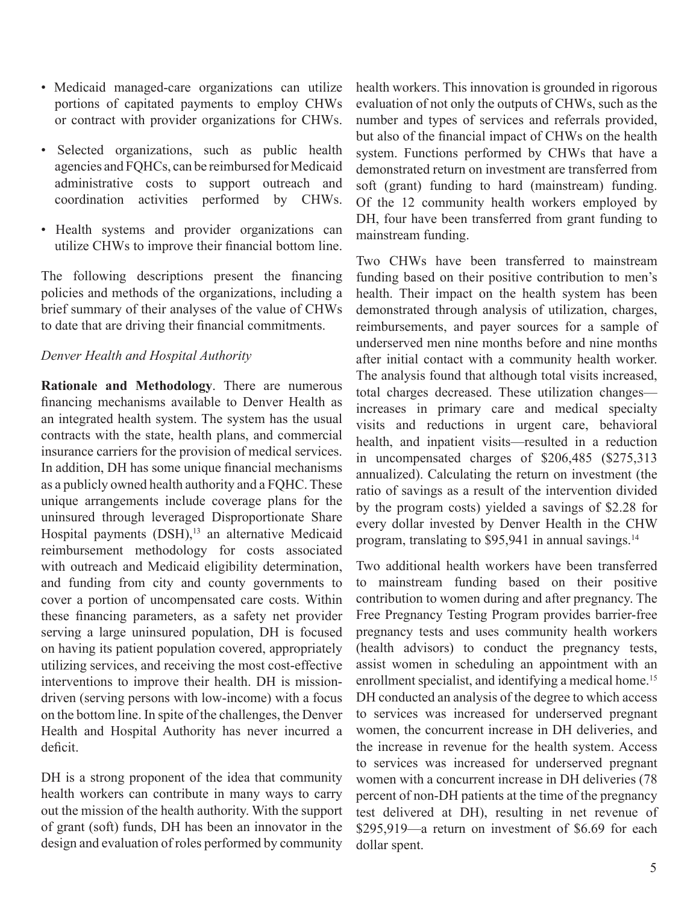- Medicaid managed-care organizations can utilize portions of capitated payments to employ CHWs or contract with provider organizations for CHWs.
- Selected organizations, such as public health agencies and FQHCs, can be reimbursed for Medicaid administrative costs to support outreach and coordination activities performed by CHWs.
- Health systems and provider organizations can utilize CHWs to improve their financial bottom line.

The following descriptions present the financing policies and methods of the organizations, including a brief summary of their analyses of the value of CHWs to date that are driving their financial commitments.

### *Denver Health and Hospital Authority*

**Rationale and Methodology**. There are numerous financing mechanisms available to Denver Health as an integrated health system. The system has the usual contracts with the state, health plans, and commercial insurance carriers for the provision of medical services. In addition, DH has some unique financial mechanisms as a publicly owned health authority and a FQHC. These unique arrangements include coverage plans for the uninsured through leveraged Disproportionate Share Hospital payments (DSH),<sup>13</sup> an alternative Medicaid reimbursement methodology for costs associated with outreach and Medicaid eligibility determination, and funding from city and county governments to cover a portion of uncompensated care costs. Within these financing parameters, as a safety net provider serving a large uninsured population, DH is focused on having its patient population covered, appropriately utilizing services, and receiving the most cost-effective interventions to improve their health. DH is missiondriven (serving persons with low-income) with a focus on the bottom line. In spite of the challenges, the Denver Health and Hospital Authority has never incurred a deficit.

DH is a strong proponent of the idea that community health workers can contribute in many ways to carry out the mission of the health authority. With the support of grant (soft) funds, DH has been an innovator in the design and evaluation of roles performed by community

health workers. This innovation is grounded in rigorous evaluation of not only the outputs of CHWs, such as the number and types of services and referrals provided, but also of the financial impact of CHWs on the health system. Functions performed by CHWs that have a demonstrated return on investment are transferred from soft (grant) funding to hard (mainstream) funding. Of the 12 community health workers employed by DH, four have been transferred from grant funding to mainstream funding.

Two CHWs have been transferred to mainstream funding based on their positive contribution to men's health. Their impact on the health system has been demonstrated through analysis of utilization, charges, reimbursements, and payer sources for a sample of underserved men nine months before and nine months after initial contact with a community health worker. The analysis found that although total visits increased, total charges decreased. These utilization changes increases in primary care and medical specialty visits and reductions in urgent care, behavioral health, and inpatient visits—resulted in a reduction in uncompensated charges of \$206,485 (\$275,313 annualized). Calculating the return on investment (the ratio of savings as a result of the intervention divided by the program costs) yielded a savings of \$2.28 for every dollar invested by Denver Health in the CHW program, translating to \$95,941 in annual savings.<sup>14</sup>

Two additional health workers have been transferred to mainstream funding based on their positive contribution to women during and after pregnancy. The Free Pregnancy Testing Program provides barrier-free pregnancy tests and uses community health workers (health advisors) to conduct the pregnancy tests, assist women in scheduling an appointment with an enrollment specialist, and identifying a medical home.<sup>15</sup> DH conducted an analysis of the degree to which access to services was increased for underserved pregnant women, the concurrent increase in DH deliveries, and the increase in revenue for the health system. Access to services was increased for underserved pregnant women with a concurrent increase in DH deliveries (78 percent of non-DH patients at the time of the pregnancy test delivered at DH), resulting in net revenue of \$295,919—a return on investment of \$6.69 for each dollar spent.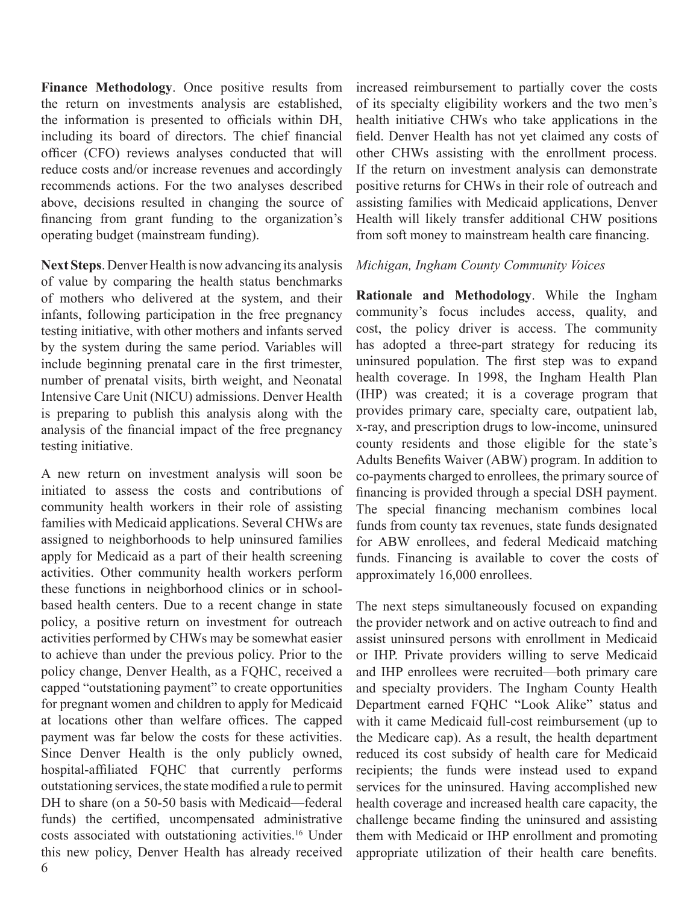**Finance Methodology**. Once positive results from the return on investments analysis are established, the information is presented to officials within DH, including its board of directors. The chief financial officer (CFO) reviews analyses conducted that will reduce costs and/or increase revenues and accordingly recommends actions. For the two analyses described above, decisions resulted in changing the source of financing from grant funding to the organization's operating budget (mainstream funding).

**Next Steps**. Denver Health is now advancing its analysis of value by comparing the health status benchmarks of mothers who delivered at the system, and their infants, following participation in the free pregnancy testing initiative, with other mothers and infants served by the system during the same period. Variables will include beginning prenatal care in the first trimester, number of prenatal visits, birth weight, and Neonatal Intensive Care Unit (NICU) admissions. Denver Health is preparing to publish this analysis along with the analysis of the financial impact of the free pregnancy testing initiative.

A new return on investment analysis will soon be initiated to assess the costs and contributions of community health workers in their role of assisting families with Medicaid applications. Several CHWs are assigned to neighborhoods to help uninsured families apply for Medicaid as a part of their health screening activities. Other community health workers perform these functions in neighborhood clinics or in schoolbased health centers. Due to a recent change in state policy, a positive return on investment for outreach activities performed by CHWs may be somewhat easier to achieve than under the previous policy. Prior to the policy change, Denver Health, as a FQHC, received a capped "outstationing payment" to create opportunities for pregnant women and children to apply for Medicaid at locations other than welfare offices. The capped payment was far below the costs for these activities. Since Denver Health is the only publicly owned, hospital-affiliated FQHC that currently performs outstationing services, the state modified a rule to permit DH to share (on a 50-50 basis with Medicaid—federal funds) the certified, uncompensated administrative costs associated with outstationing activities.16 Under this new policy, Denver Health has already received

increased reimbursement to partially cover the costs of its specialty eligibility workers and the two men's health initiative CHWs who take applications in the field. Denver Health has not yet claimed any costs of other CHWs assisting with the enrollment process. If the return on investment analysis can demonstrate positive returns for CHWs in their role of outreach and assisting families with Medicaid applications, Denver Health will likely transfer additional CHW positions from soft money to mainstream health care financing.

### *Michigan, Ingham County Community Voices*

**Rationale and Methodology**. While the Ingham community's focus includes access, quality, and cost, the policy driver is access. The community has adopted a three-part strategy for reducing its uninsured population. The first step was to expand health coverage. In 1998, the Ingham Health Plan (IHP) was created; it is a coverage program that provides primary care, specialty care, outpatient lab, x-ray, and prescription drugs to low-income, uninsured county residents and those eligible for the state's Adults Benefits Waiver (ABW) program. In addition to co-payments charged to enrollees, the primary source of financing is provided through a special DSH payment. The special financing mechanism combines local funds from county tax revenues, state funds designated for ABW enrollees, and federal Medicaid matching funds. Financing is available to cover the costs of approximately 16,000 enrollees.

The next steps simultaneously focused on expanding the provider network and on active outreach to find and assist uninsured persons with enrollment in Medicaid or IHP. Private providers willing to serve Medicaid and IHP enrollees were recruited—both primary care and specialty providers. The Ingham County Health Department earned FQHC "Look Alike" status and with it came Medicaid full-cost reimbursement (up to the Medicare cap). As a result, the health department reduced its cost subsidy of health care for Medicaid recipients; the funds were instead used to expand services for the uninsured. Having accomplished new health coverage and increased health care capacity, the challenge became finding the uninsured and assisting them with Medicaid or IHP enrollment and promoting appropriate utilization of their health care benefits.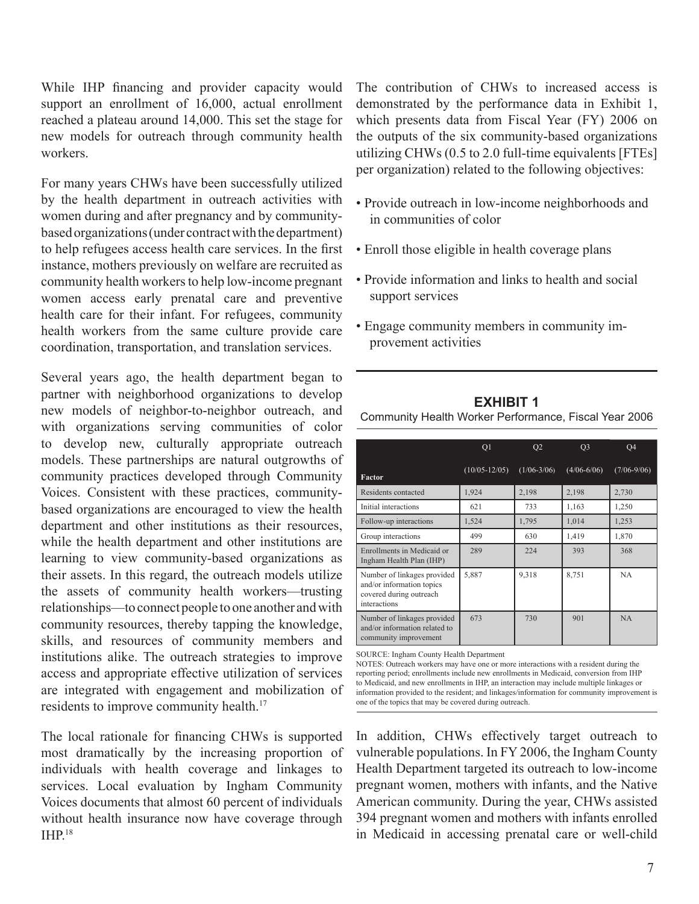While IHP financing and provider capacity would support an enrollment of 16,000, actual enrollment reached a plateau around 14,000. This set the stage for new models for outreach through community health workers.

For many years CHWs have been successfully utilized by the health department in outreach activities with women during and after pregnancy and by communitybased organizations (under contract with the department) to help refugees access health care services. In the first instance, mothers previously on welfare are recruited as community health workers to help low-income pregnant women access early prenatal care and preventive health care for their infant. For refugees, community health workers from the same culture provide care coordination, transportation, and translation services.

Several years ago, the health department began to partner with neighborhood organizations to develop new models of neighbor-to-neighbor outreach, and with organizations serving communities of color to develop new, culturally appropriate outreach models. These partnerships are natural outgrowths of community practices developed through Community Voices. Consistent with these practices, communitybased organizations are encouraged to view the health department and other institutions as their resources, while the health department and other institutions are learning to view community-based organizations as their assets. In this regard, the outreach models utilize the assets of community health workers—trusting relationships—to connect people to one another and with community resources, thereby tapping the knowledge, skills, and resources of community members and institutions alike. The outreach strategies to improve access and appropriate effective utilization of services are integrated with engagement and mobilization of residents to improve community health.<sup>17</sup>

The local rationale for financing CHWs is supported most dramatically by the increasing proportion of individuals with health coverage and linkages to services. Local evaluation by Ingham Community Voices documents that almost 60 percent of individuals without health insurance now have coverage through IHP.18

The contribution of CHWs to increased access is demonstrated by the performance data in Exhibit 1, which presents data from Fiscal Year (FY) 2006 on the outputs of the six community-based organizations utilizing CHWs (0.5 to 2.0 full-time equivalents [FTEs] per organization) related to the following objectives:

- Provide outreach in low-income neighborhoods and in communities of color
- Enroll those eligible in health coverage plans
- Provide information and links to health and social support services
- Engage community members in community improvement activities

### **EXHIBIT 1** Community Health Worker Performance, Fiscal Year 2006

|                                                                                                     | Q1                | Q <sub>2</sub>  | Q <sub>3</sub>  | O <sub>4</sub>  |
|-----------------------------------------------------------------------------------------------------|-------------------|-----------------|-----------------|-----------------|
| Factor                                                                                              | $(10/05 - 12/05)$ | $(1/06 - 3/06)$ | $(4/06 - 6/06)$ | $(7/06 - 9/06)$ |
| Residents contacted                                                                                 | 1,924             | 2,198           | 2,198           | 2,730           |
| Initial interactions                                                                                | 621               | 733             | 1,163           | 1,250           |
| Follow-up interactions                                                                              | 1,524             | 1,795           | 1,014           | 1,253           |
| Group interactions                                                                                  | 499               | 630             | 1,419           | 1,870           |
| Enrollments in Medicaid or<br>Ingham Health Plan (IHP)                                              | 289               | 224             | 393             | 368             |
| Number of linkages provided<br>and/or information topics<br>covered during outreach<br>interactions | 5,887             | 9,318           | 8,751           | <b>NA</b>       |
| Number of linkages provided<br>and/or information related to<br>community improvement               | 673               | 730             | 901             | NA              |

SOURCE: Ingham County Health Department

NOTES: Outreach workers may have one or more interactions with a resident during the reporting period; enrollments include new enrollments in Medicaid, conversion from IHP to Medicaid, and new enrollments in IHP, an interaction may include multiple linkages or information provided to the resident; and linkages/information for community improvement is one of the topics that may be covered during outreach.

In addition, CHWs effectively target outreach to vulnerable populations. In FY 2006, the Ingham County Health Department targeted its outreach to low-income pregnant women, mothers with infants, and the Native American community. During the year, CHWs assisted 394 pregnant women and mothers with infants enrolled in Medicaid in accessing prenatal care or well-child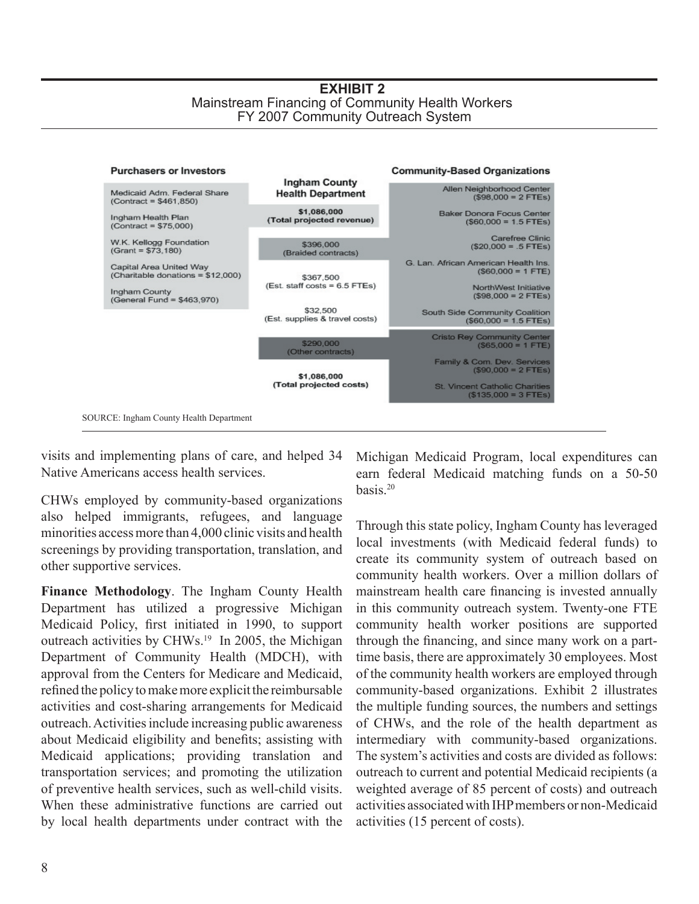#### **EXHIBIT 2** Mainstream Financing of Community Health Workers FY 2007 Community Outreach System



visits and implementing plans of care, and helped 34 Native Americans access health services.

CHWs employed by community-based organizations also helped immigrants, refugees, and language minorities access more than 4,000 clinic visits and health screenings by providing transportation, translation, and other supportive services.

**Finance Methodology**. The Ingham County Health Department has utilized a progressive Michigan Medicaid Policy, first initiated in 1990, to support outreach activities by CHWs.<sup>19</sup> In 2005, the Michigan Department of Community Health (MDCH), with approval from the Centers for Medicare and Medicaid, refined the policy to make more explicit the reimbursable activities and cost-sharing arrangements for Medicaid outreach. Activities include increasing public awareness about Medicaid eligibility and benefits; assisting with Medicaid applications; providing translation and transportation services; and promoting the utilization of preventive health services, such as well-child visits. When these administrative functions are carried out by local health departments under contract with the

Michigan Medicaid Program, local expenditures can earn federal Medicaid matching funds on a 50-50 basis $20$ 

Through this state policy, Ingham County has leveraged local investments (with Medicaid federal funds) to create its community system of outreach based on community health workers. Over a million dollars of mainstream health care financing is invested annually in this community outreach system. Twenty-one FTE community health worker positions are supported through the financing, and since many work on a parttime basis, there are approximately 30 employees. Most of the community health workers are employed through community-based organizations. Exhibit 2 illustrates the multiple funding sources, the numbers and settings of CHWs, and the role of the health department as intermediary with community-based organizations. The system's activities and costs are divided as follows: outreach to current and potential Medicaid recipients (a weighted average of 85 percent of costs) and outreach activities associated with IHP members or non-Medicaid activities (15 percent of costs).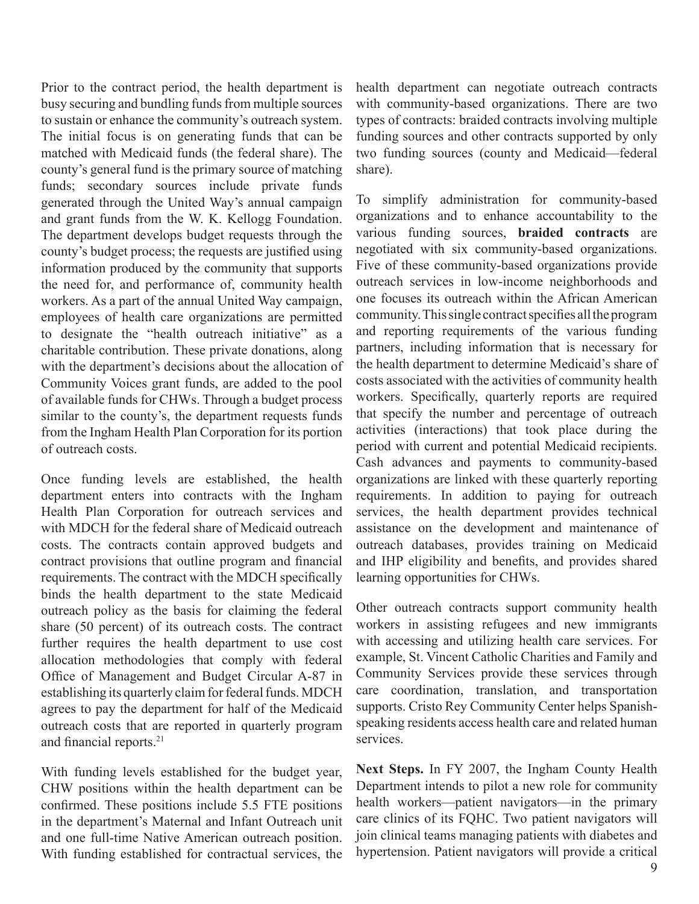Prior to the contract period, the health department is busy securing and bundling funds from multiple sources to sustain or enhance the community's outreach system. The initial focus is on generating funds that can be matched with Medicaid funds (the federal share). The county's general fund is the primary source of matching funds; secondary sources include private funds generated through the United Way's annual campaign and grant funds from the W. K. Kellogg Foundation. The department develops budget requests through the county's budget process; the requests are justified using information produced by the community that supports the need for, and performance of, community health workers. As a part of the annual United Way campaign, employees of health care organizations are permitted to designate the "health outreach initiative" as a charitable contribution. These private donations, along with the department's decisions about the allocation of Community Voices grant funds, are added to the pool of available funds for CHWs. Through a budget process similar to the county's, the department requests funds from the Ingham Health Plan Corporation for its portion of outreach costs.

Once funding levels are established, the health department enters into contracts with the Ingham Health Plan Corporation for outreach services and with MDCH for the federal share of Medicaid outreach costs. The contracts contain approved budgets and contract provisions that outline program and financial requirements. The contract with the MDCH specifically binds the health department to the state Medicaid outreach policy as the basis for claiming the federal share (50 percent) of its outreach costs. The contract further requires the health department to use cost allocation methodologies that comply with federal Office of Management and Budget Circular A-87 in establishing its quarterly claim for federal funds. MDCH agrees to pay the department for half of the Medicaid outreach costs that are reported in quarterly program and financial reports.21

With funding levels established for the budget year, CHW positions within the health department can be confirmed. These positions include 5.5 FTE positions in the department's Maternal and Infant Outreach unit and one full-time Native American outreach position. With funding established for contractual services, the

health department can negotiate outreach contracts with community-based organizations. There are two types of contracts: braided contracts involving multiple funding sources and other contracts supported by only two funding sources (county and Medicaid—federal share).

To simplify administration for community-based organizations and to enhance accountability to the various funding sources, **braided contracts** are negotiated with six community-based organizations. Five of these community-based organizations provide outreach services in low-income neighborhoods and one focuses its outreach within the African American community. This single contract specifies all the program and reporting requirements of the various funding partners, including information that is necessary for the health department to determine Medicaid's share of costs associated with the activities of community health workers. Specifically, quarterly reports are required that specify the number and percentage of outreach activities (interactions) that took place during the period with current and potential Medicaid recipients. Cash advances and payments to community-based organizations are linked with these quarterly reporting requirements. In addition to paying for outreach services, the health department provides technical assistance on the development and maintenance of outreach databases, provides training on Medicaid and IHP eligibility and benefits, and provides shared learning opportunities for CHWs.

Other outreach contracts support community health workers in assisting refugees and new immigrants with accessing and utilizing health care services. For example, St. Vincent Catholic Charities and Family and Community Services provide these services through care coordination, translation, and transportation supports. Cristo Rey Community Center helps Spanishspeaking residents access health care and related human services.

**Next Steps.** In FY 2007, the Ingham County Health Department intends to pilot a new role for community health workers—patient navigators—in the primary care clinics of its FQHC. Two patient navigators will join clinical teams managing patients with diabetes and hypertension. Patient navigators will provide a critical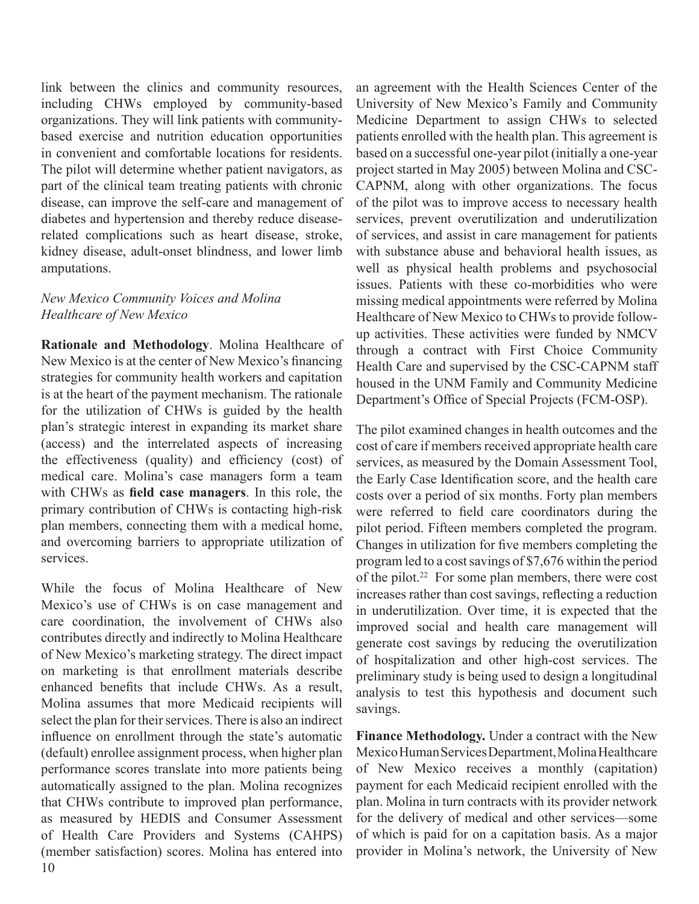link between the clinics and community resources, including CHWs employed by community-based organizations. They will link patients with communitybased exercise and nutrition education opportunities in convenient and comfortable locations for residents. The pilot will determine whether patient navigators, as part of the clinical team treating patients with chronic disease, can improve the self-care and management of diabetes and hypertension and thereby reduce diseaserelated complications such as heart disease, stroke, kidney disease, adult-onset blindness, and lower limb amputations.

# *New Mexico Community Voices and Molina Healthcare of New Mexico*

**Rationale and Methodology**. Molina Healthcare of New Mexico is at the center of New Mexico's financing strategies for community health workers and capitation is at the heart of the payment mechanism. The rationale for the utilization of CHWs is guided by the health plan's strategic interest in expanding its market share (access) and the interrelated aspects of increasing the effectiveness (quality) and efficiency (cost) of medical care. Molina's case managers form a team with CHWs as **field case managers**. In this role, the primary contribution of CHWs is contacting high-risk plan members, connecting them with a medical home, and overcoming barriers to appropriate utilization of services.

While the focus of Molina Healthcare of New Mexico's use of CHWs is on case management and care coordination, the involvement of CHWs also contributes directly and indirectly to Molina Healthcare of New Mexico's marketing strategy. The direct impact on marketing is that enrollment materials describe enhanced benefits that include CHWs. As a result, Molina assumes that more Medicaid recipients will select the plan for their services. There is also an indirect influence on enrollment through the state's automatic (default) enrollee assignment process, when higher plan performance scores translate into more patients being automatically assigned to the plan. Molina recognizes that CHWs contribute to improved plan performance, as measured by HEDIS and Consumer Assessment of Health Care Providers and Systems (CAHPS) (member satisfaction) scores. Molina has entered into

an agreement with the Health Sciences Center of the University of New Mexico's Family and Community Medicine Department to assign CHWs to selected patients enrolled with the health plan. This agreement is based on a successful one-year pilot (initially a one-year project started in May 2005) between Molina and CSC-CAPNM, along with other organizations. The focus of the pilot was to improve access to necessary health services, prevent overutilization and underutilization of services, and assist in care management for patients with substance abuse and behavioral health issues, as well as physical health problems and psychosocial issues. Patients with these co-morbidities who were missing medical appointments were referred by Molina Healthcare of New Mexico to CHWs to provide followup activities. These activities were funded by NMCV through a contract with First Choice Community Health Care and supervised by the CSC-CAPNM staff housed in the UNM Family and Community Medicine Department's Office of Special Projects (FCM-OSP).

The pilot examined changes in health outcomes and the cost of care if members received appropriate health care services, as measured by the Domain Assessment Tool, the Early Case Identification score, and the health care costs over a period of six months. Forty plan members were referred to field care coordinators during the pilot period. Fifteen members completed the program. Changes in utilization for five members completing the program led to a cost savings of \$7,676 within the period of the pilot.<sup>22</sup> For some plan members, there were cost increases rather than cost savings, reflecting a reduction in underutilization. Over time, it is expected that the improved social and health care management will generate cost savings by reducing the overutilization of hospitalization and other high-cost services. The preliminary study is being used to design a longitudinal analysis to test this hypothesis and document such savings.

**Finance Methodology.** Under a contract with the New Mexico Human Services Department, Molina Healthcare of New Mexico receives a monthly (capitation) payment for each Medicaid recipient enrolled with the plan. Molina in turn contracts with its provider network for the delivery of medical and other services—some of which is paid for on a capitation basis. As a major provider in Molina's network, the University of New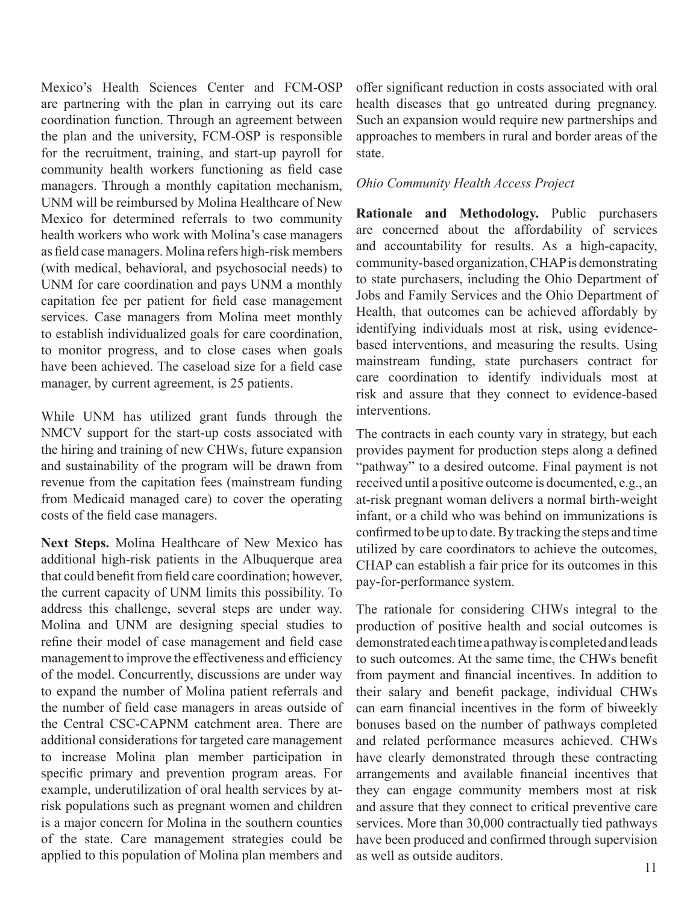Mexico's Health Sciences Center and FCM-OSP are partnering with the plan in carrying out its care coordination function. Through an agreement between the plan and the university, FCM-OSP is responsible for the recruitment, training, and start-up payroll for community health workers functioning as field case managers. Through a monthly capitation mechanism, UNM will be reimbursed by Molina Healthcare of New Mexico for determined referrals to two community health workers who work with Molina's case managers as field case managers. Molina refers high-risk members (with medical, behavioral, and psychosocial needs) to UNM for care coordination and pays UNM a monthly capitation fee per patient for field case management services. Case managers from Molina meet monthly to establish individualized goals for care coordination, to monitor progress, and to close cases when goals have been achieved. The caseload size for a field case manager, by current agreement, is 25 patients.

While UNM has utilized grant funds through the NMCV support for the start-up costs associated with the hiring and training of new CHWs, future expansion and sustainability of the program will be drawn from revenue from the capitation fees (mainstream funding from Medicaid managed care) to cover the operating costs of the field case managers.

**Next Steps.** Molina Healthcare of New Mexico has additional high-risk patients in the Albuquerque area that could benefit from field care coordination; however, the current capacity of UNM limits this possibility. To address this challenge, several steps are under way. Molina and UNM are designing special studies to refine their model of case management and field case management to improve the effectiveness and efficiency of the model. Concurrently, discussions are under way to expand the number of Molina patient referrals and the number of field case managers in areas outside of the Central CSC-CAPNM catchment area. There are additional considerations for targeted care management to increase Molina plan member participation in specific primary and prevention program areas. For example, underutilization of oral health services by atrisk populations such as pregnant women and children is a major concern for Molina in the southern counties of the state. Care management strategies could be applied to this population of Molina plan members and

offer significant reduction in costs associated with oral health diseases that go untreated during pregnancy. Such an expansion would require new partnerships and approaches to members in rural and border areas of the state.

### *Ohio Community Health Access Project*

**Rationale and Methodology.** Public purchasers are concerned about the affordability of services and accountability for results. As a high-capacity, community-based organization, CHAP is demonstrating to state purchasers, including the Ohio Department of Jobs and Family Services and the Ohio Department of Health, that outcomes can be achieved affordably by identifying individuals most at risk, using evidencebased interventions, and measuring the results. Using mainstream funding, state purchasers contract for care coordination to identify individuals most at risk and assure that they connect to evidence-based interventions.

The contracts in each county vary in strategy, but each provides payment for production steps along a defined "pathway" to a desired outcome. Final payment is not received until a positive outcome is documented, e.g., an at-risk pregnant woman delivers a normal birth-weight infant, or a child who was behind on immunizations is confirmed to be up to date. By tracking the steps and time utilized by care coordinators to achieve the outcomes, CHAP can establish a fair price for its outcomes in this pay-for-performance system.

The rationale for considering CHWs integral to the production of positive health and social outcomes is demonstrated each time a pathway is completed and leads to such outcomes. At the same time, the CHWs benefit from payment and financial incentives. In addition to their salary and benefit package, individual CHWs can earn financial incentives in the form of biweekly bonuses based on the number of pathways completed and related performance measures achieved. CHWs have clearly demonstrated through these contracting arrangements and available financial incentives that they can engage community members most at risk and assure that they connect to critical preventive care services. More than 30,000 contractually tied pathways have been produced and confirmed through supervision as well as outside auditors.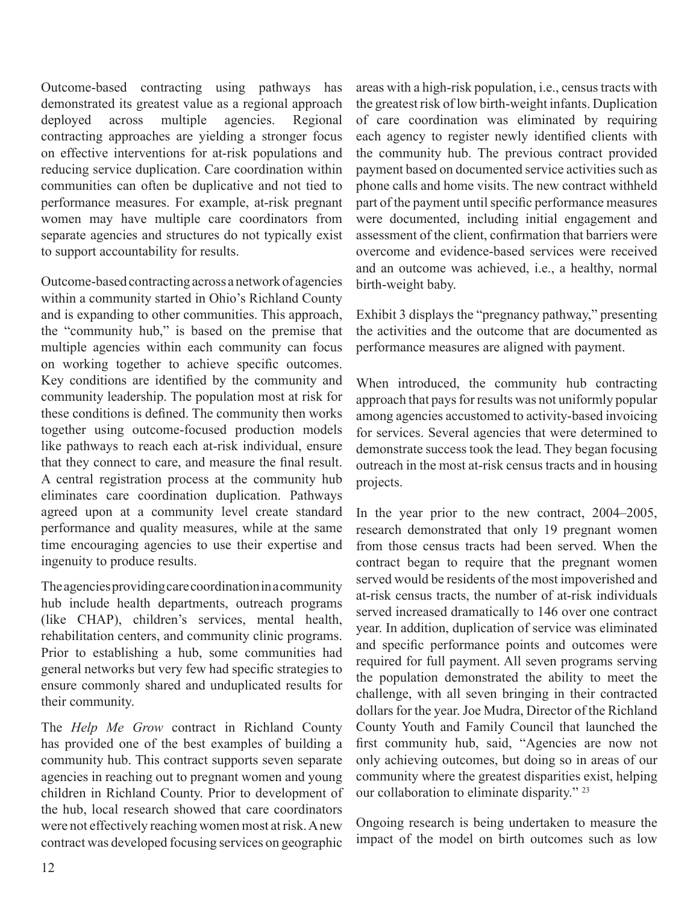Outcome-based contracting using pathways has demonstrated its greatest value as a regional approach deployed across multiple agencies. Regional contracting approaches are yielding a stronger focus on effective interventions for at-risk populations and reducing service duplication. Care coordination within communities can often be duplicative and not tied to performance measures. For example, at-risk pregnant women may have multiple care coordinators from separate agencies and structures do not typically exist to support accountability for results.

Outcome-based contracting across a network of agencies within a community started in Ohio's Richland County and is expanding to other communities. This approach, the "community hub," is based on the premise that multiple agencies within each community can focus on working together to achieve specific outcomes. Key conditions are identified by the community and community leadership. The population most at risk for these conditions is defined. The community then works together using outcome-focused production models like pathways to reach each at-risk individual, ensure that they connect to care, and measure the final result. A central registration process at the community hub eliminates care coordination duplication. Pathways agreed upon at a community level create standard performance and quality measures, while at the same time encouraging agencies to use their expertise and ingenuity to produce results.

The agencies providing care coordination in a community hub include health departments, outreach programs (like CHAP), children's services, mental health, rehabilitation centers, and community clinic programs. Prior to establishing a hub, some communities had general networks but very few had specific strategies to ensure commonly shared and unduplicated results for their community.

The *Help Me Grow* contract in Richland County has provided one of the best examples of building a community hub. This contract supports seven separate agencies in reaching out to pregnant women and young children in Richland County. Prior to development of the hub, local research showed that care coordinators were not effectively reaching women most at risk. A new contract was developed focusing services on geographic

areas with a high-risk population, i.e., census tracts with the greatest risk of low birth-weight infants. Duplication of care coordination was eliminated by requiring each agency to register newly identified clients with the community hub. The previous contract provided payment based on documented service activities such as phone calls and home visits. The new contract withheld part of the payment until specific performance measures were documented, including initial engagement and assessment of the client, confirmation that barriers were overcome and evidence-based services were received and an outcome was achieved, i.e., a healthy, normal birth-weight baby.

Exhibit 3 displays the "pregnancy pathway," presenting the activities and the outcome that are documented as performance measures are aligned with payment.

When introduced, the community hub contracting approach that pays for results was not uniformly popular among agencies accustomed to activity-based invoicing for services. Several agencies that were determined to demonstrate success took the lead. They began focusing outreach in the most at-risk census tracts and in housing projects.

In the year prior to the new contract, 2004–2005, research demonstrated that only 19 pregnant women from those census tracts had been served. When the contract began to require that the pregnant women served would be residents of the most impoverished and at-risk census tracts, the number of at-risk individuals served increased dramatically to 146 over one contract year. In addition, duplication of service was eliminated and specific performance points and outcomes were required for full payment. All seven programs serving the population demonstrated the ability to meet the challenge, with all seven bringing in their contracted dollars for the year. Joe Mudra, Director of the Richland County Youth and Family Council that launched the first community hub, said, "Agencies are now not only achieving outcomes, but doing so in areas of our community where the greatest disparities exist, helping our collaboration to eliminate disparity." 23

Ongoing research is being undertaken to measure the impact of the model on birth outcomes such as low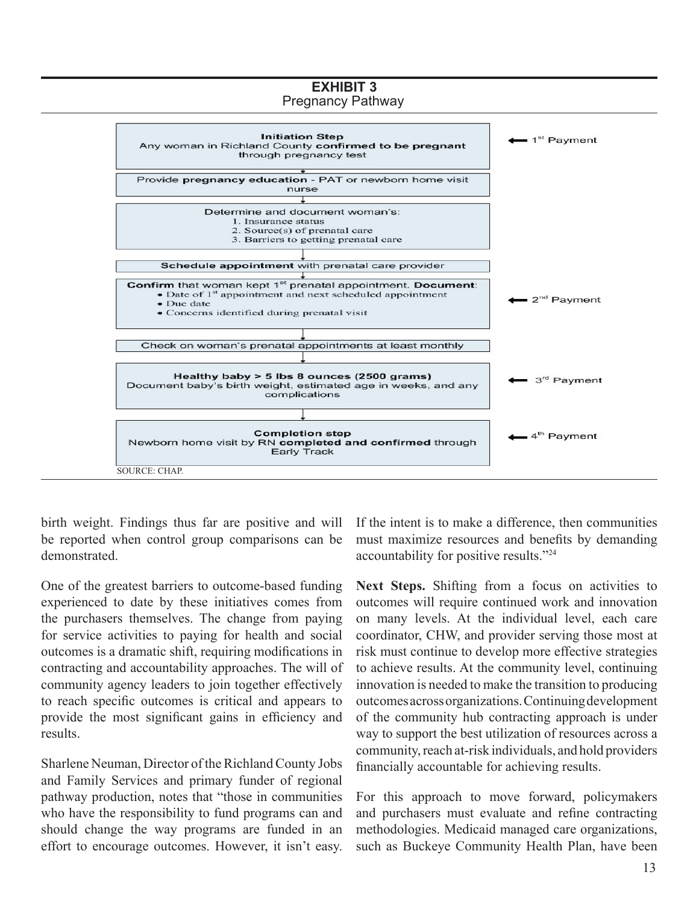

birth weight. Findings thus far are positive and will be reported when control group comparisons can be demonstrated.

One of the greatest barriers to outcome-based funding experienced to date by these initiatives comes from the purchasers themselves. The change from paying for service activities to paying for health and social outcomes is a dramatic shift, requiring modifications in contracting and accountability approaches. The will of community agency leaders to join together effectively to reach specific outcomes is critical and appears to provide the most significant gains in efficiency and results.

Sharlene Neuman, Director of the Richland County Jobs and Family Services and primary funder of regional pathway production, notes that "those in communities who have the responsibility to fund programs can and should change the way programs are funded in an effort to encourage outcomes. However, it isn't easy. If the intent is to make a difference, then communities must maximize resources and benefits by demanding accountability for positive results."24

Next Steps. Shifting from a focus on activities to outcomes will require continued work and innovation on many levels. At the individual level, each care coordinator, CHW, and provider serving those most at risk must continue to develop more effective strategies to achieve results. At the community level, continuing innovation is needed to make the transition to producing outcomes across organizations. Continuing development of the community hub contracting approach is under way to support the best utilization of resources across a community, reach at-risk individuals, and hold providers financially accountable for achieving results.

For this approach to move forward, policymakers and purchasers must evaluate and refine contracting methodologies. Medicaid managed care organizations, such as Buckeye Community Health Plan, have been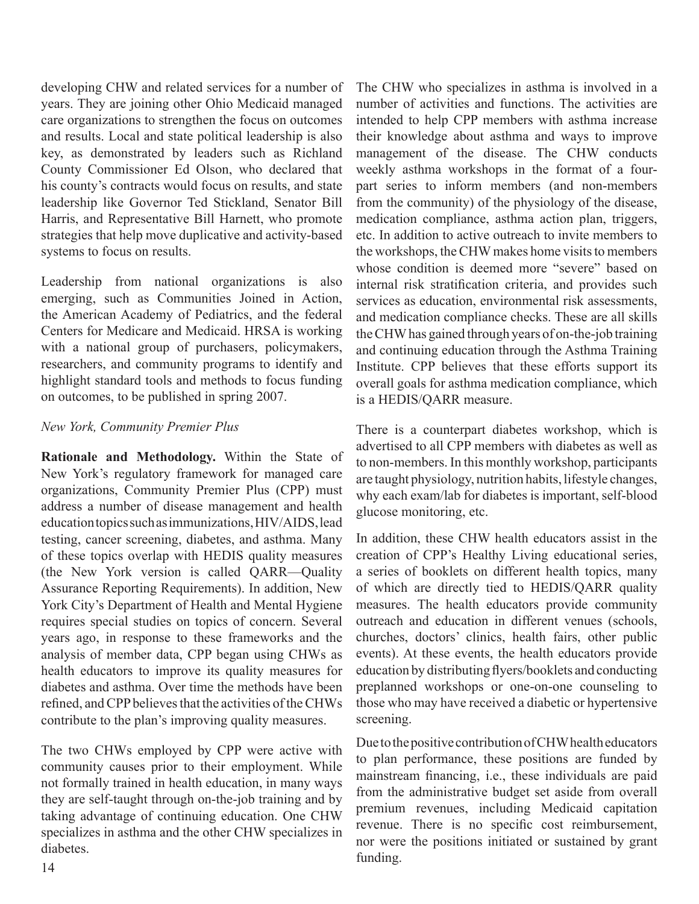developing CHW and related services for a number of years. They are joining other Ohio Medicaid managed care organizations to strengthen the focus on outcomes and results. Local and state political leadership is also key, as demonstrated by leaders such as Richland County Commissioner Ed Olson, who declared that his county's contracts would focus on results, and state leadership like Governor Ted Stickland, Senator Bill Harris, and Representative Bill Harnett, who promote strategies that help move duplicative and activity-based systems to focus on results.

Leadership from national organizations is also emerging, such as Communities Joined in Action, the American Academy of Pediatrics, and the federal Centers for Medicare and Medicaid. HRSA is working with a national group of purchasers, policymakers, researchers, and community programs to identify and highlight standard tools and methods to focus funding on outcomes, to be published in spring 2007.

### *New York, Community Premier Plus*

**Rationale and Methodology.** Within the State of New York's regulatory framework for managed care organizations, Community Premier Plus (CPP) must address a number of disease management and health education topics such as immunizations, HIV/AIDS, lead testing, cancer screening, diabetes, and asthma. Many of these topics overlap with HEDIS quality measures (the New York version is called QARR—Quality Assurance Reporting Requirements). In addition, New York City's Department of Health and Mental Hygiene requires special studies on topics of concern. Several years ago, in response to these frameworks and the analysis of member data, CPP began using CHWs as health educators to improve its quality measures for diabetes and asthma. Over time the methods have been refined, and CPP believes that the activities of the CHWs contribute to the plan's improving quality measures.

The two CHWs employed by CPP were active with community causes prior to their employment. While not formally trained in health education, in many ways they are self-taught through on-the-job training and by taking advantage of continuing education. One CHW specializes in asthma and the other CHW specializes in diabetes. funding.<br>14

The CHW who specializes in asthma is involved in a number of activities and functions. The activities are intended to help CPP members with asthma increase their knowledge about asthma and ways to improve management of the disease. The CHW conducts weekly asthma workshops in the format of a fourpart series to inform members (and non-members from the community) of the physiology of the disease, medication compliance, asthma action plan, triggers, etc. In addition to active outreach to invite members to the workshops, the CHW makes home visits to members whose condition is deemed more "severe" based on internal risk stratification criteria, and provides such services as education, environmental risk assessments, and medication compliance checks. These are all skills the CHW has gained through years of on-the-job training and continuing education through the Asthma Training Institute. CPP believes that these efforts support its overall goals for asthma medication compliance, which is a HEDIS/QARR measure.

There is a counterpart diabetes workshop, which is advertised to all CPP members with diabetes as well as to non-members. In this monthly workshop, participants are taught physiology, nutrition habits, lifestyle changes, why each exam/lab for diabetes is important, self-blood glucose monitoring, etc.

In addition, these CHW health educators assist in the creation of CPP's Healthy Living educational series, a series of booklets on different health topics, many of which are directly tied to HEDIS/QARR quality measures. The health educators provide community outreach and education in different venues (schools, churches, doctors' clinics, health fairs, other public events). At these events, the health educators provide education by distributing flyers/booklets and conducting preplanned workshops or one-on-one counseling to those who may have received a diabetic or hypertensive screening.

Due to the positive contribution of CHW health educators to plan performance, these positions are funded by mainstream financing, i.e., these individuals are paid from the administrative budget set aside from overall premium revenues, including Medicaid capitation revenue. There is no specific cost reimbursement, nor were the positions initiated or sustained by grant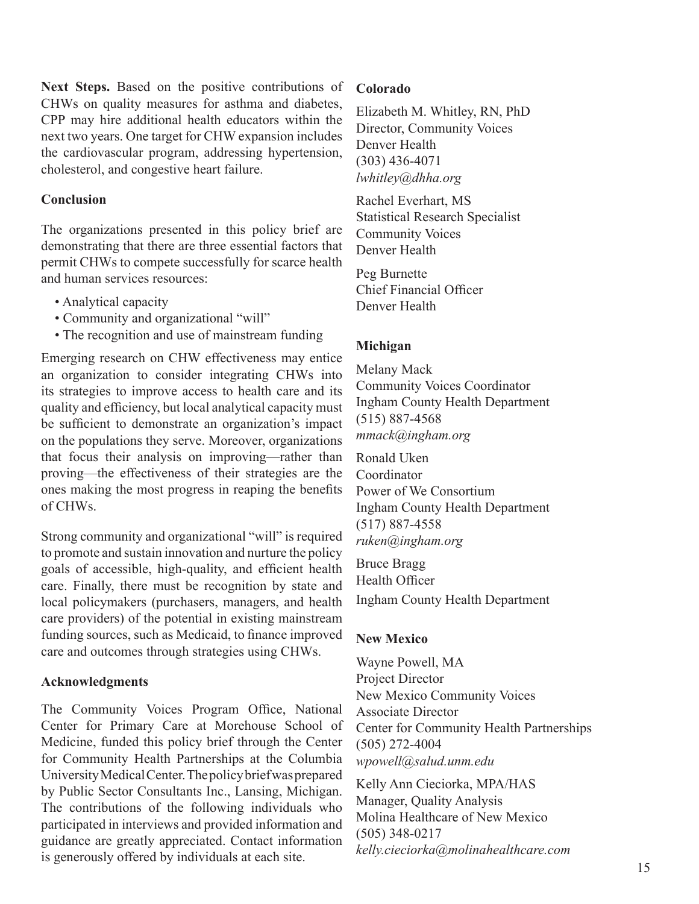**Next Steps.** Based on the positive contributions of CHWs on quality measures for asthma and diabetes, CPP may hire additional health educators within the next two years. One target for CHW expansion includes the cardiovascular program, addressing hypertension, cholesterol, and congestive heart failure.

### **Conclusion**

The organizations presented in this policy brief are demonstrating that there are three essential factors that permit CHWs to compete successfully for scarce health and human services resources:

- Analytical capacity
- Community and organizational "will"
- The recognition and use of mainstream funding

Emerging research on CHW effectiveness may entice an organization to consider integrating CHWs into its strategies to improve access to health care and its quality and efficiency, but local analytical capacity must be sufficient to demonstrate an organization's impact on the populations they serve. Moreover, organizations that focus their analysis on improving—rather than proving—the effectiveness of their strategies are the ones making the most progress in reaping the benefits of CHWs.

Strong community and organizational "will" is required to promote and sustain innovation and nurture the policy goals of accessible, high-quality, and efficient health care. Finally, there must be recognition by state and local policymakers (purchasers, managers, and health care providers) of the potential in existing mainstream funding sources, such as Medicaid, to finance improved care and outcomes through strategies using CHWs.

### **Acknowledgments**

The Community Voices Program Office, National Center for Primary Care at Morehouse School of Medicine, funded this policy brief through the Center for Community Health Partnerships at the Columbia University Medical Center. The policy brief was prepared by Public Sector Consultants Inc., Lansing, Michigan. The contributions of the following individuals who participated in interviews and provided information and guidance are greatly appreciated. Contact information is generously offered by individuals at each site.

### **Colorado**

Elizabeth M. Whitley, RN, PhD Director, Community Voices Denver Health (303) 436-4071 *lwhitley@dhha.org*

Rachel Everhart, MS Statistical Research Specialist Community Voices Denver Health

Peg Burnette Chief Financial Officer Denver Health

# **Michigan**

Melany Mack Community Voices Coordinator Ingham County Health Department (515) 887-4568 *mmack@ingham.org*

Ronald Uken Coordinator Power of We Consortium Ingham County Health Department (517) 887-4558 *ruken@ingham.org*

Bruce Bragg Health Officer Ingham County Health Department

### **New Mexico**

Wayne Powell, MA Project Director New Mexico Community Voices Associate Director Center for Community Health Partnerships (505) 272-4004 *wpowell@salud.unm.edu*

Kelly Ann Cieciorka, MPA/HAS Manager, Quality Analysis Molina Healthcare of New Mexico (505) 348-0217 *kelly.cieciorka@molinahealthcare.com*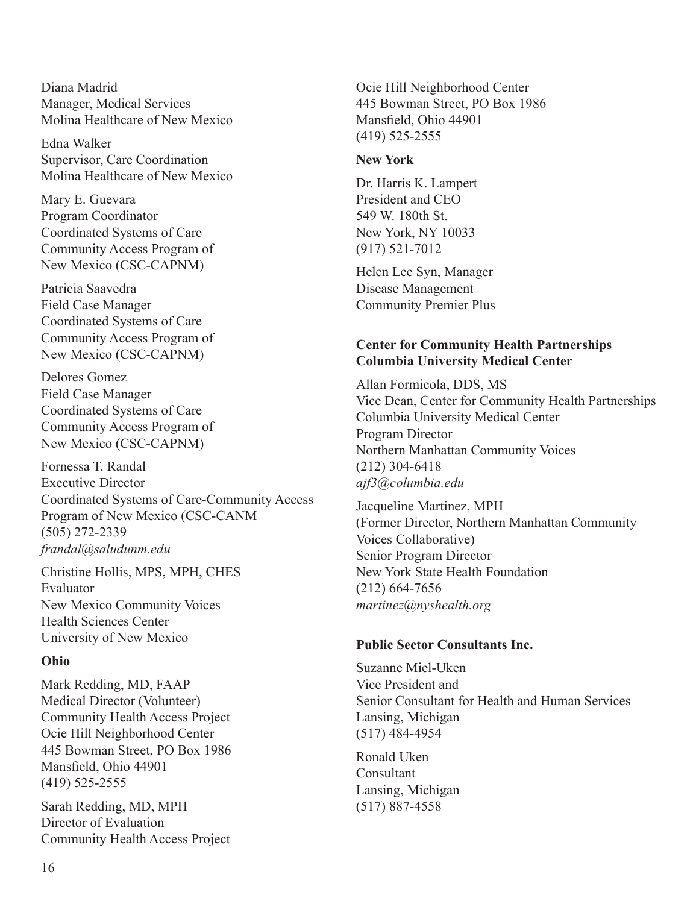Diana Madrid Manager, Medical Services Molina Healthcare of New Mexico

Edna Walker Supervisor, Care Coordination Molina Healthcare of New Mexico

Mary E. Guevara Program Coordinator Coordinated Systems of Care Community Access Program of New Mexico (CSC-CAPNM)

Patricia Saavedra Field Case Manager Coordinated Systems of Care Community Access Program of New Mexico (CSC-CAPNM)

Delores Gomez Field Case Manager Coordinated Systems of Care Community Access Program of New Mexico (CSC-CAPNM)

Fornessa T. Randal Executive Director Coordinated Systems of Care-Community Access Program of New Mexico (CSC-CANM (505) 272-2339 *frandal@saludunm.edu*

Christine Hollis, MPS, MPH, CHES Evaluator New Mexico Community Voices Health Sciences Center University of New Mexico

#### **Ohio**

Mark Redding, MD, FAAP Medical Director (Volunteer) Community Health Access Project Ocie Hill Neighborhood Center 445 Bowman Street, PO Box 1986 Mansfield, Ohio 44901 (419) 525-2555

Sarah Redding, MD, MPH Director of Evaluation Community Health Access Project

Ocie Hill Neighborhood Center 445 Bowman Street, PO Box 1986 Mansfield, Ohio 44901 (419) 525-2555

#### **New York**

Dr. Harris K. Lampert President and CEO 549 W. 180th St. New York, NY 10033 (917) 521-7012

Helen Lee Syn, Manager Disease Management Community Premier Plus

### **Center for Community Health Partnerships Columbia University Medical Center**

Allan Formicola, DDS, MS Vice Dean, Center for Community Health Partnerships Columbia University Medical Center Program Director Northern Manhattan Community Voices (212) 304-6418 *ajf3@columbia.edu*

Jacqueline Martinez, MPH (Former Director, Northern Manhattan Community Voices Collaborative) Senior Program Director New York State Health Foundation (212) 664-7656 *martinez@nyshealth.org*

#### **Public Sector Consultants Inc.**

Suzanne Miel-Uken Vice President and Senior Consultant for Health and Human Services Lansing, Michigan (517) 484-4954

Ronald Uken Consultant Lansing, Michigan (517) 887-4558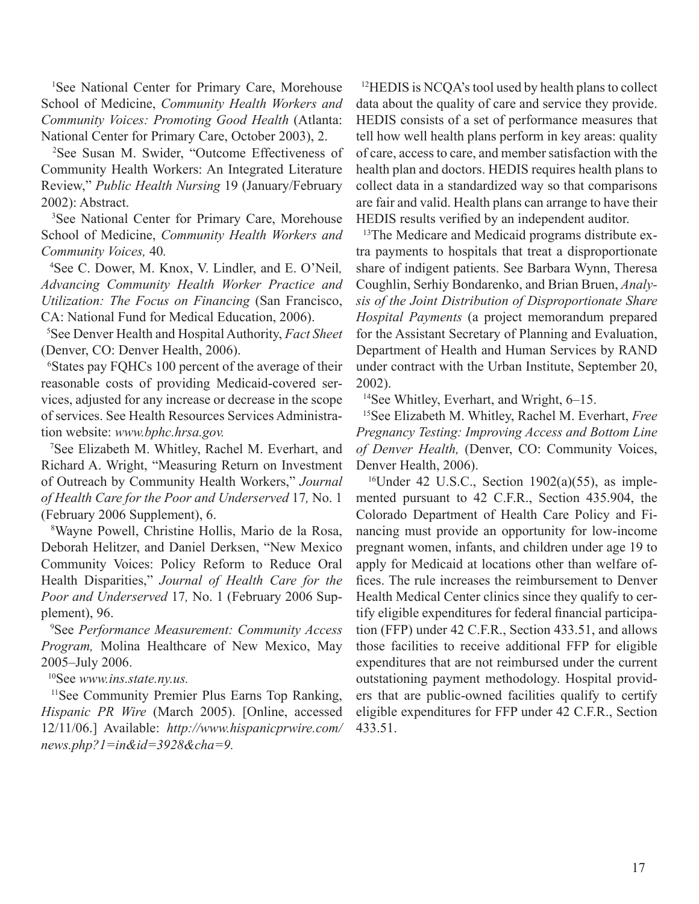1 See National Center for Primary Care, Morehouse School of Medicine, *Community Health Workers and Community Voices: Promoting Good Health* (Atlanta: National Center for Primary Care, October 2003), 2.

<sup>2</sup>See Susan M. Swider, "Outcome Effectiveness of Community Health Workers: An Integrated Literature Review," *Public Health Nursing* 19 (January/February 2002): Abstract.

<sup>3</sup>See National Center for Primary Care, Morehouse School of Medicine, *Community Health Workers and Community Voices,* 40*.* 

<sup>4</sup> See C. Dower, M. Knox, V. Lindler, and E. O'Neil, *Advancing Community Health Worker Practice and Utilization: The Focus on Financing* (San Francisco, CA: National Fund for Medical Education, 2006).

5 See Denver Health and Hospital Authority, *Fact Sheet*  (Denver, CO: Denver Health, 2006).

<sup>6</sup>States pay FQHCs 100 percent of the average of their reasonable costs of providing Medicaid-covered services, adjusted for any increase or decrease in the scope of services. See Health Resources Services Administration website: *www.bphc.hrsa.gov.*

<sup>7</sup>See Elizabeth M. Whitley, Rachel M. Everhart, and Richard A. Wright, "Measuring Return on Investment of Outreach by Community Health Workers," *Journal of Health Care for the Poor and Underserved* 17*,* No. 1 (February 2006 Supplement), 6.

<sup>8</sup>Wayne Powell, Christine Hollis, Mario de la Rosa, Deborah Helitzer, and Daniel Derksen, "New Mexico Community Voices: Policy Reform to Reduce Oral Health Disparities," *Journal of Health Care for the Poor and Underserved* 17*,* No. 1 (February 2006 Supplement), 96.

9 See *Performance Measurement: Community Access Program,* Molina Healthcare of New Mexico, May 2005–July 2006.

10See *www.ins.state.ny.us.*

<sup>11</sup>See Community Premier Plus Earns Top Ranking, *Hispanic PR Wire* (March 2005). [Online, accessed 12/11/06.] Available: *http://www.hispanicprwire.com/ news.php?1=in&id=3928&cha=9.*

<sup>12</sup>HEDIS is NCQA's tool used by health plans to collect data about the quality of care and service they provide. HEDIS consists of a set of performance measures that tell how well health plans perform in key areas: quality of care, access to care, and member satisfaction with the health plan and doctors. HEDIS requires health plans to collect data in a standardized way so that comparisons are fair and valid. Health plans can arrange to have their HEDIS results verified by an independent auditor.

<sup>13</sup>The Medicare and Medicaid programs distribute extra payments to hospitals that treat a disproportionate share of indigent patients. See Barbara Wynn, Theresa Coughlin, Serhiy Bondarenko, and Brian Bruen, *Analysis of the Joint Distribution of Disproportionate Share Hospital Payments* (a project memorandum prepared for the Assistant Secretary of Planning and Evaluation, Department of Health and Human Services by RAND under contract with the Urban Institute, September 20, 2002).

<sup>14</sup>See Whitley, Everhart, and Wright, 6–15.

<sup>15</sup>See Elizabeth M. Whitley, Rachel M. Everhart, *Free Pregnancy Testing: Improving Access and Bottom Line of Denver Health,* (Denver, CO: Community Voices, Denver Health, 2006).

<sup>16</sup>Under 42 U.S.C., Section 1902(a)(55), as implemented pursuant to 42 C.F.R., Section 435.904, the Colorado Department of Health Care Policy and Financing must provide an opportunity for low-income pregnant women, infants, and children under age 19 to apply for Medicaid at locations other than welfare offices. The rule increases the reimbursement to Denver Health Medical Center clinics since they qualify to certify eligible expenditures for federal financial participation (FFP) under 42 C.F.R., Section 433.51, and allows those facilities to receive additional FFP for eligible expenditures that are not reimbursed under the current outstationing payment methodology. Hospital providers that are public-owned facilities qualify to certify eligible expenditures for FFP under 42 C.F.R., Section 433.51.